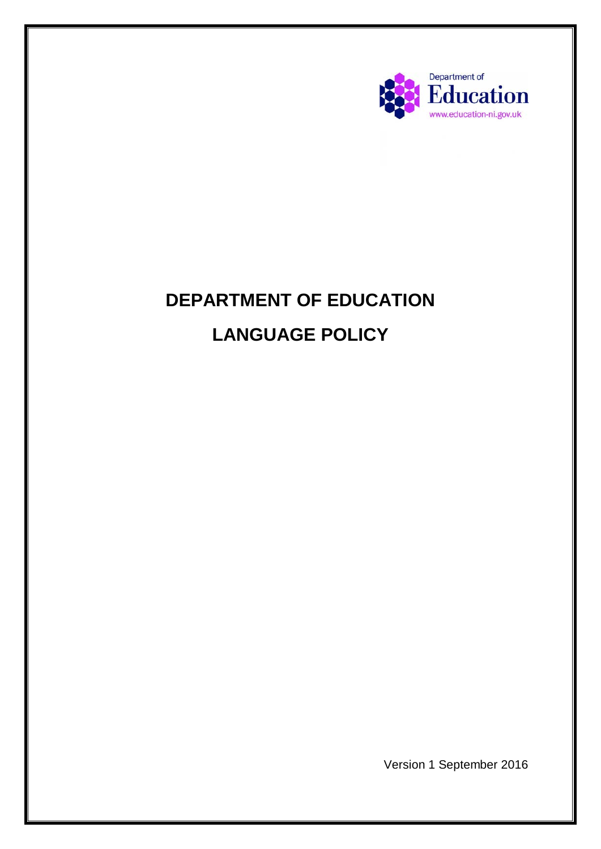

# **DEPARTMENT OF EDUCATION LANGUAGE POLICY**

Version 1 September 2016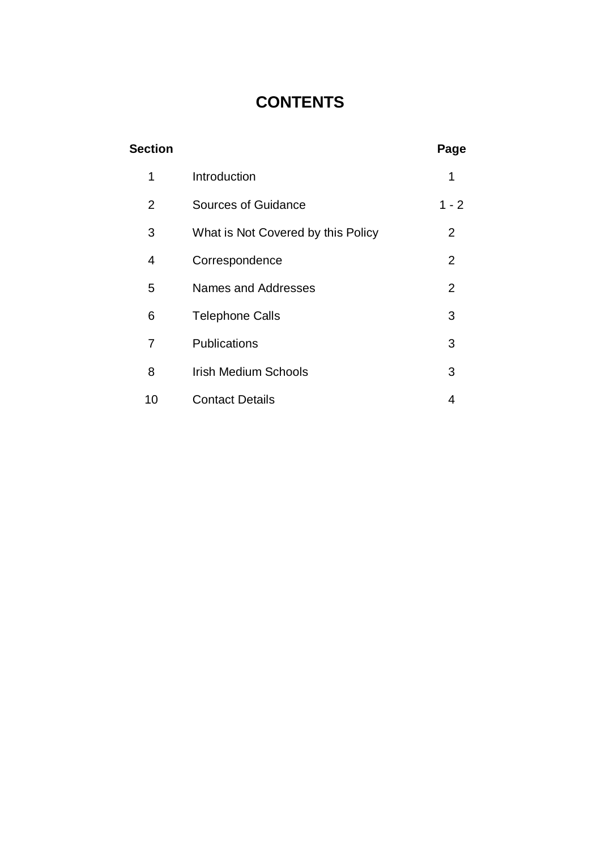# **CONTENTS**

| <b>Section</b> |                                    | Page    |
|----------------|------------------------------------|---------|
| 1              | Introduction                       | 1       |
| 2              | <b>Sources of Guidance</b>         | $1 - 2$ |
| 3              | What is Not Covered by this Policy | 2       |
| 4              | Correspondence                     | 2       |
| 5              | Names and Addresses                | 2       |
| 6              | <b>Telephone Calls</b>             | 3       |
| $\overline{7}$ | Publications                       | 3       |
| 8              | <b>Irish Medium Schools</b>        | 3       |
| 10             | <b>Contact Details</b>             | 4       |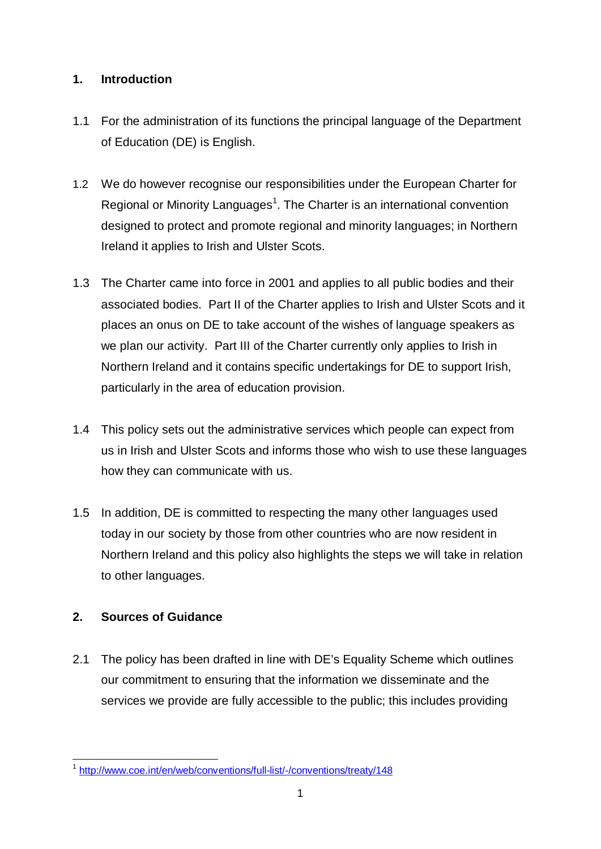#### **1. Introduction**

- 1.1 For the administration of its functions the principal language of the Department of Education (DE) is English.
- 1.2 We do however recognise our responsibilities under the European Charter for Regional or Minority Languages<sup>[1](#page-2-0)</sup>. The Charter is an international convention designed to protect and promote regional and minority languages; in Northern Ireland it applies to Irish and Ulster Scots.
- 1.3 The Charter came into force in 2001 and applies to all public bodies and their associated bodies. Part II of the Charter applies to Irish and Ulster Scots and it places an onus on DE to take account of the wishes of language speakers as we plan our activity. Part III of the Charter currently only applies to Irish in Northern Ireland and it contains specific undertakings for DE to support Irish, particularly in the area of education provision.
- 1.4 This policy sets out the administrative services which people can expect from us in Irish and Ulster Scots and informs those who wish to use these languages how they can communicate with us.
- 1.5 In addition, DE is committed to respecting the many other languages used today in our society by those from other countries who are now resident in Northern Ireland and this policy also highlights the steps we will take in relation to other languages.

## **2. Sources of Guidance**

2.1 The policy has been drafted in line with DE's Equality Scheme which outlines our commitment to ensuring that the information we disseminate and the services we provide are fully accessible to the public; this includes providing

<span id="page-2-0"></span><sup>1</sup> <http://www.coe.int/en/web/conventions/full-list/-/conventions/treaty/148>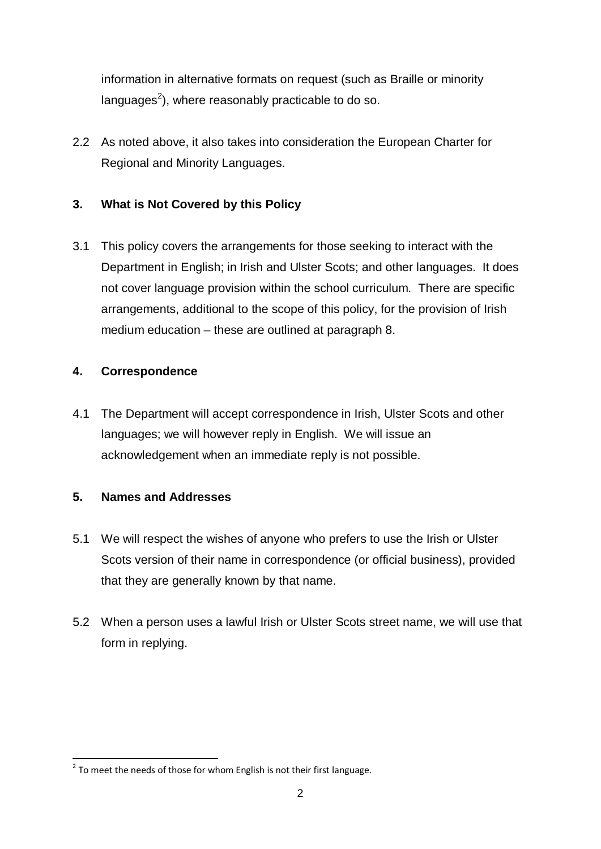information in alternative formats on request (such as Braille or minority languages $^2$  $^2$ ), where reasonably practicable to do so.

2.2 As noted above, it also takes into consideration the European Charter for Regional and Minority Languages.

### **3. What is Not Covered by this Policy**

3.1 This policy covers the arrangements for those seeking to interact with the Department in English; in Irish and Ulster Scots; and other languages. It does not cover language provision within the school curriculum. There are specific arrangements, additional to the scope of this policy, for the provision of Irish medium education – these are outlined at paragraph 8.

#### **4. Correspondence**

4.1 The Department will accept correspondence in Irish, Ulster Scots and other languages; we will however reply in English. We will issue an acknowledgement when an immediate reply is not possible.

#### **5. Names and Addresses**

- 5.1 We will respect the wishes of anyone who prefers to use the Irish or Ulster Scots version of their name in correspondence (or official business), provided that they are generally known by that name.
- 5.2 When a person uses a lawful Irish or Ulster Scots street name, we will use that form in replying.

<span id="page-3-0"></span> $2$  To meet the needs of those for whom English is not their first language.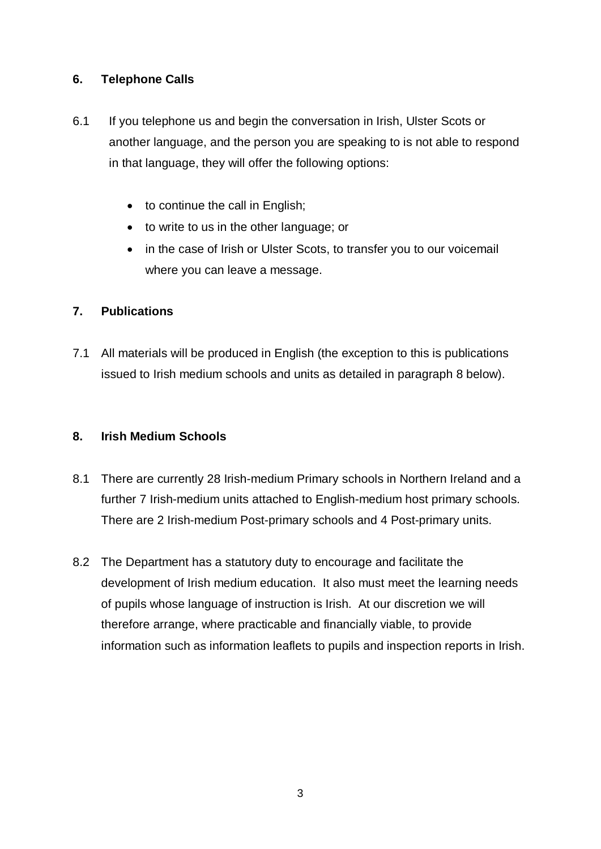#### **6. Telephone Calls**

- 6.1 If you telephone us and begin the conversation in Irish, Ulster Scots or another language, and the person you are speaking to is not able to respond in that language, they will offer the following options:
	- to continue the call in English;
	- to write to us in the other language; or
	- in the case of Irish or Ulster Scots, to transfer you to our voicemail where you can leave a message.

#### **7. Publications**

7.1 All materials will be produced in English (the exception to this is publications issued to Irish medium schools and units as detailed in paragraph 8 below).

#### **8. Irish Medium Schools**

- 8.1 There are currently 28 Irish-medium Primary schools in Northern Ireland and a further 7 Irish-medium units attached to English-medium host primary schools. There are 2 Irish-medium Post-primary schools and 4 Post-primary units.
- 8.2 The Department has a statutory duty to encourage and facilitate the development of Irish medium education. It also must meet the learning needs of pupils whose language of instruction is Irish. At our discretion we will therefore arrange, where practicable and financially viable, to provide information such as information leaflets to pupils and inspection reports in Irish.